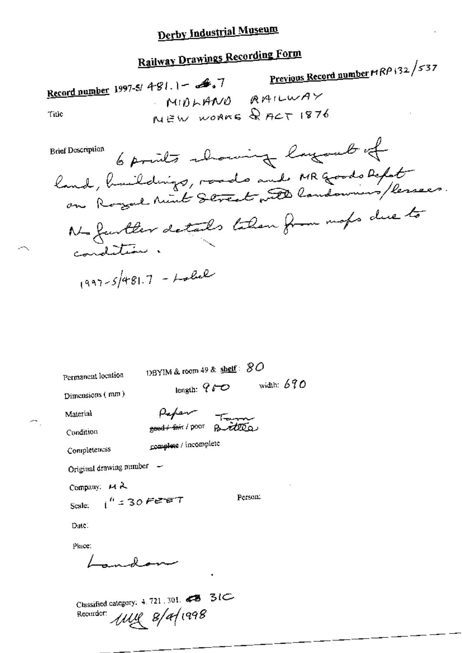# **Railway Drawings Recording Form**

|       | Railway Drawings Record                             |                                               |
|-------|-----------------------------------------------------|-----------------------------------------------|
|       |                                                     | <u>Previous Record number</u> 11 RP 132 / 537 |
|       | Record number 1997-5/481.1 - 4.7<br>MIDLAND RAILWAY |                                               |
|       |                                                     |                                               |
| Title | NEW WORKS & ACT 1876                                |                                               |

6 points chowing layout of **Brief Description** land, huildings, roads and MR goods Refert No further datales tolan from maps due to condition.  $1997 - 5/481.7 - L^{222}$ 

Permanent location

DBYIM & room 49 & shelf: 80

Dimensions (mm)

length:  $9f$  width: 690

Material

Peper <del>goud / fai</del>r / poor

Condition

complete / incomplete

Completeness

Original drawing number -

Company: MR

Scale:  $i^{h}$  = 30 Ferent

Person:

Date:

Place:

 $\mathbf{u}$ 

Classified category: 4, 721, 301, 43 31C Recurdent *JULIC 8/al* 1998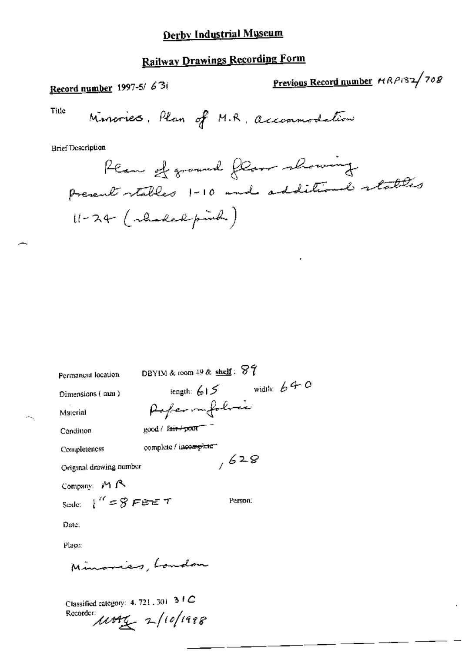### **Railway Drawings Recording Form**

Previous Record number MRP132/708 Record number 1997-5/630 Title Minories, Plan of M.R. accommodation **Brief Description** Plan of ground floor showing Present stables 1-10 and additional stateles  $11 - 24$  (chadadpink)

DBYIM & room  $49$  & shelf:  $87$ Permanent location length:  $615$  width:  $640$ Dimensions (mm) Paper mafalvia Material good / fair / pour Condition complete / incomplete Completeness  $,628$ Original drawing number Company: MR Scale:  $1'' = 8$  FBET Person: Date: Place:

Minories, London

 $\sim$   $\sim$ 

Classified category: 4, 721, 301-3 1 C

 $\mu$ mag 2/10/1998 Recorder: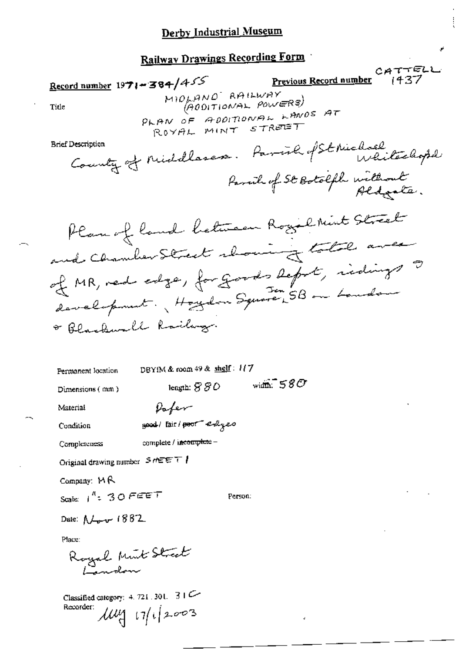#### **Railway Drawings Recording Form**

Record number  $1971 - 384/455$ 

Previous Record number 1437

CATTELL

MIDLAND RAILWAY  $(600)$ TIONAL POWERS) PLAN OF ADDITIONAL LANDS AT ROYAL MINT STREET

**Brief Description** 

Title

County of Middlesex. Parish of Struchael whiteshope family of St Botolph without

Plan of land between Royal Mint Street and Chamber Street showing total avec of MR, ned edge, for goods befort, indings ? development. Hoydon Square, 5B on Landau & Blackwall Railway.

Permanent location

DBYIM & room 49 & shelf: 117

Dimensions (mm)

width,  $580$ leagth:  $8\,80^\circ$ 

Material

Dafer

Condition

good/ fair/poor excess

complete / incomplete -

Completeness

Original drawing number  $S$  there  $\tau$  |

Company:  $MR$ 

Scale:  $i^4$  : 30 FEET

Person:

Date:  $\Lambda$  -  $V$  1882

Place:

Royal Munt Street

Classified category:  $4.721.301.31$ Recorder:  $\mu$   $\frac{1}{4}$   $\frac{1}{4}$   $\frac{1}{2003}$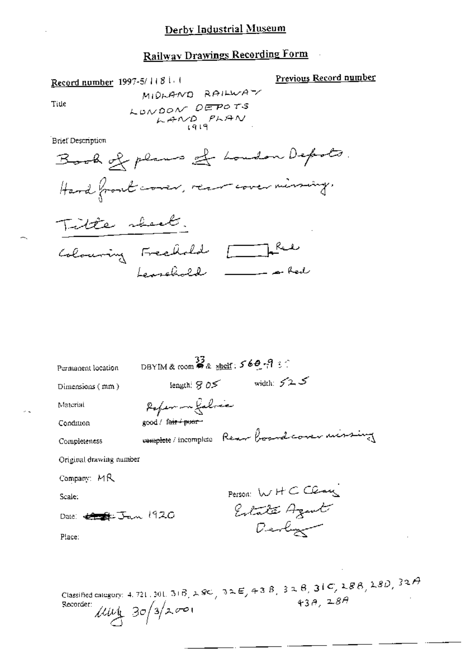#### Railway Drawings Recording Form

Record number 1997-5/1181.4

Previous Record number

Title

 $\sim$   $\sim$ 

Brief Description

| Permanent location              | DBYIM & room $\frac{33}{2}$ a shelf: $569 - 93$ |                  |           |  |
|---------------------------------|-------------------------------------------------|------------------|-----------|--|
| Dimensions (mm)                 | iength: S 05                                    | width: $525$     |           |  |
| Material                        | Reference folice                                |                  |           |  |
| Condition                       | good / fa <del>ir / puor</del>                  |                  |           |  |
| Completeness                    | complete/incomplete Rear board cover missing    |                  |           |  |
| Original drawing number         |                                                 |                  |           |  |
| Company: MR                     |                                                 |                  |           |  |
| Scale:                          |                                                 |                  |           |  |
| Date: <del>Congl</del> Jan 1920 |                                                 | Person: WHCClaus |           |  |
| Place:                          |                                                 | Devly            |           |  |
|                                 |                                                 |                  |           |  |
|                                 |                                                 |                  |           |  |
|                                 |                                                 |                  | አዘመ ገዳሚ ደ |  |

Classified category: 4.721.301.316, 280, 32E, 43B, 32B, 32B, 28B, 28D, 32A<br>Recorder:  $\mu\mu_0$  30/3/2001

 $\sim$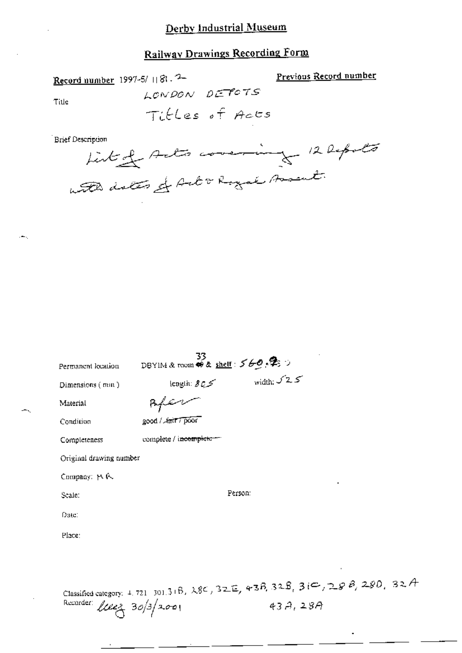### Railway Drawings Recording Form

Titles of Acts

| Brief Description                                                                | List of Acts comming 12 Depots                                                                                                                                     |  |
|----------------------------------------------------------------------------------|--------------------------------------------------------------------------------------------------------------------------------------------------------------------|--|
| Permanent location<br>Dimensions (min.)<br>Material<br>Condition<br>Completeness | DBYIM & room $\otimes$ a shelf: $569.9$<br>width: $\sqrt{2.5}$<br>lengtin: $\mathcal{S} \mathcal{Q} \mathcal{Z}$<br>good / fair / poor<br>complete / incomplete -- |  |
| Original drawing number<br>Company: MR<br>Scale:<br>Date:<br>Place:              | Person:                                                                                                                                                            |  |
| Recorder: $\text{Area}$ 30/3/2001                                                | Classified category: 4, 721-301.3+B, $\lambda$ 8C, 32E, 43B, 32B, 3(C, 29B, 29D,<br>43A, 28A                                                                       |  |

Record number 1997-5/1181.2-LONDON DEPOTS

Title

Previous Record number

 $32A$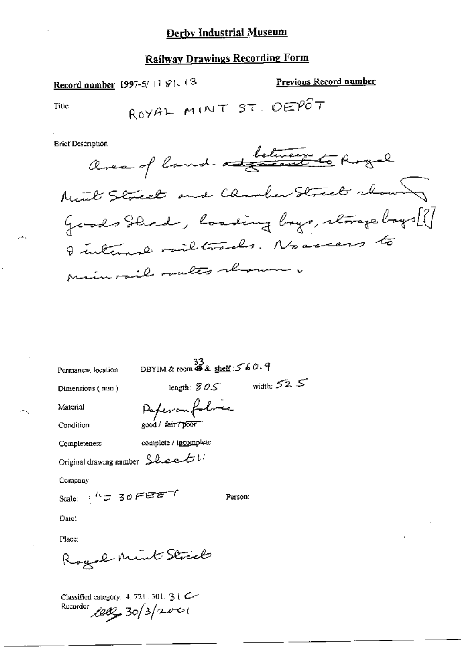#### **Railway Drawings Recording Form**

Record number 1997-5/11 81.13

Previous Record number

Title

**Brief Description** 

Permanent location

 $33$ <br>DBYIM & room  $43$  & shelf:  $560.9$ 

Dimensions (mm)

length:  $805$  width:  $52.5$ 

Person:

Condition

Material

Paperanfolice good / fair / poor

complete / incomplete Completeness

Original drawing number Sheet !!

Company:

Scale:  $1^{R}$  = 30 FEET

Date:

Place:

Rogal Mint Strick

Classified category: 4, 721, 301, 3 (Cm Recorder: 1000 30 3 2001